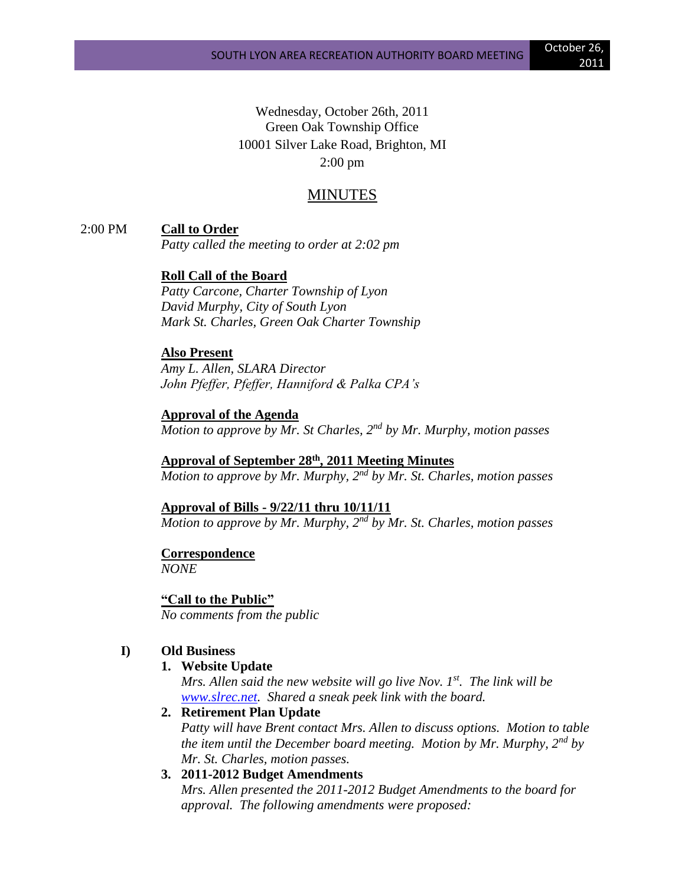Wednesday, October 26th, 2011 Green Oak Township Office 10001 Silver Lake Road, Brighton, MI 2:00 pm

# MINUTES

2:00 PM **Call to Order**

*Patty called the meeting to order at 2:02 pm*

# **Roll Call of the Board**

*Patty Carcone, Charter Township of Lyon David Murphy, City of South Lyon Mark St. Charles, Green Oak Charter Township*

#### **Also Present**

*Amy L. Allen, SLARA Director John Pfeffer, Pfeffer, Hanniford & Palka CPA's*

#### **Approval of the Agenda**

*Motion to approve by Mr. St Charles, 2nd by Mr. Murphy, motion passes*

# **Approval of September 28th , 2011 Meeting Minutes**

*Motion to approve by Mr. Murphy, 2nd by Mr. St. Charles, motion passes*

#### **Approval of Bills - 9/22/11 thru 10/11/11**

*Motion to approve by Mr. Murphy, 2nd by Mr. St. Charles, motion passes*

# **Correspondence**

*NONE*

#### **"Call to the Public"**

*No comments from the public*

#### **I) Old Business**

#### **1. Website Update**

*Mrs. Allen said the new website will go live Nov. 1st. The link will be [www.slrec.net.](http://www.slrec.net/) Shared a sneak peek link with the board.*

#### **2. Retirement Plan Update**

*Patty will have Brent contact Mrs. Allen to discuss options. Motion to table the item until the December board meeting. Motion by Mr. Murphy, 2nd by Mr. St. Charles, motion passes.* 

# **3. 2011-2012 Budget Amendments**

*Mrs. Allen presented the 2011-2012 Budget Amendments to the board for approval. The following amendments were proposed:*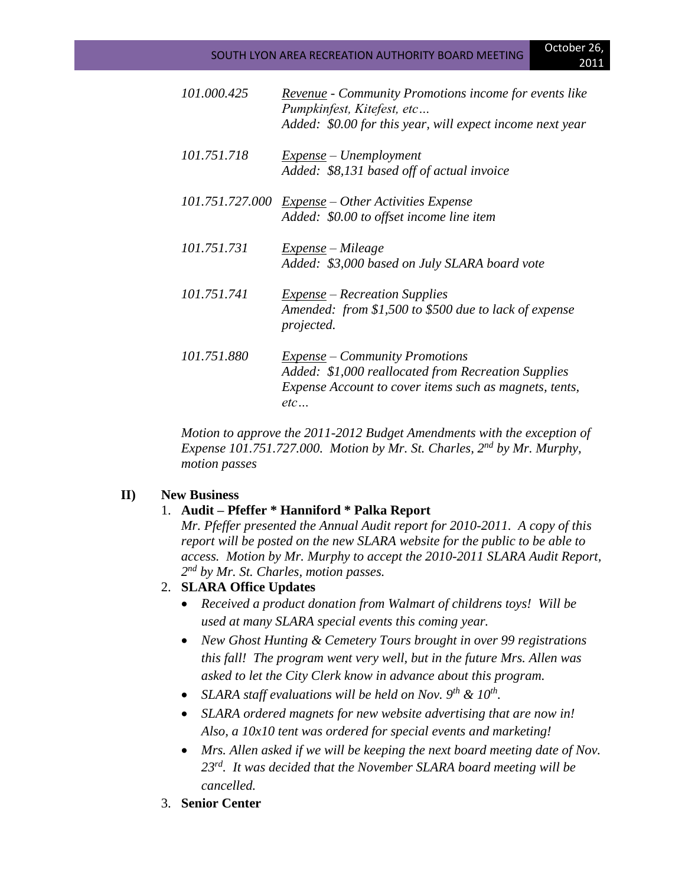# SOUTH LYON AREA RECREATION AUTHORITY BOARD MEETING **October 26,**

| 101.000.425 | Revenue - Community Promotions income for events like<br>Pumpkinfest, Kitefest, etc |
|-------------|-------------------------------------------------------------------------------------|
|             | Added: \$0.00 for this year, will expect income next year                           |
| 101.751.718 | <u>Expense</u> – Unemployment<br>Added: \$8,131 based off of actual invoice         |
|             | 101.751.727.000 Expense - Other Activities Expense                                  |
|             | Added: \$0.00 to offset income line item                                            |
| 101.751.731 | Expense – Mileage                                                                   |
|             | Added: \$3,000 based on July SLARA board vote                                       |
| 101.751.741 | <b>Expense</b> – Recreation Supplies                                                |
|             | Amended: from \$1,500 to \$500 due to lack of expense<br>projected.                 |
| 101.751.880 | $Expense$ – Community Promotions                                                    |
|             | Added: \$1,000 reallocated from Recreation Supplies                                 |
|             | Expense Account to cover items such as magnets, tents,<br>etc                       |
|             |                                                                                     |

*Motion to approve the 2011-2012 Budget Amendments with the exception of Expense 101.751.727.000. Motion by Mr. St. Charles, 2nd by Mr. Murphy, motion passes*

## **II) New Business**

## 1. **Audit – Pfeffer \* Hanniford \* Palka Report**

*Mr. Pfeffer presented the Annual Audit report for 2010-2011. A copy of this report will be posted on the new SLARA website for the public to be able to access. Motion by Mr. Murphy to accept the 2010-2011 SLARA Audit Report, 2 nd by Mr. St. Charles, motion passes.*

## 2. **SLARA Office Updates**

- *Received a product donation from Walmart of childrens toys! Will be used at many SLARA special events this coming year.*
- *New Ghost Hunting & Cemetery Tours brought in over 99 registrations this fall! The program went very well, but in the future Mrs. Allen was asked to let the City Clerk know in advance about this program.*
- *SLARA staff evaluations will be held on Nov. 9th & 10th .*
- *SLARA ordered magnets for new website advertising that are now in! Also, a 10x10 tent was ordered for special events and marketing!*
- *Mrs. Allen asked if we will be keeping the next board meeting date of Nov. 23rd. It was decided that the November SLARA board meeting will be cancelled.*
- 3. **Senior Center**